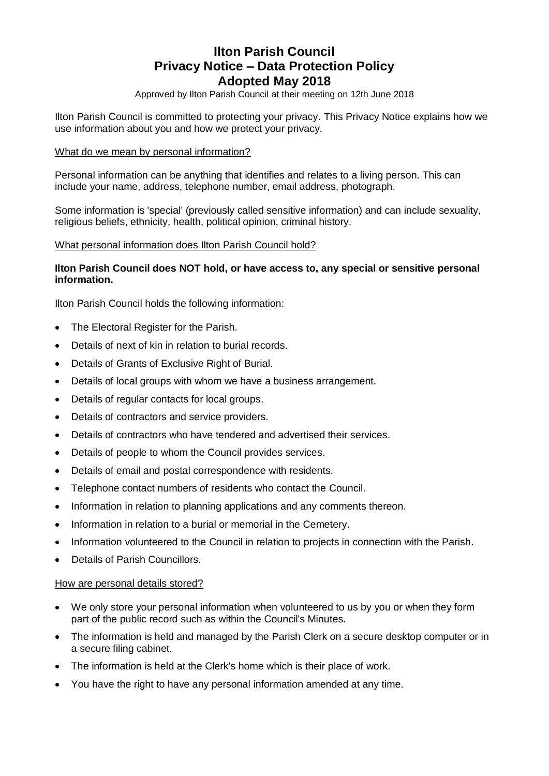# **Ilton Parish Council Privacy Notice – Data Protection Policy Adopted May 2018**

Approved by Ilton Parish Council at their meeting on 12th June 2018

Ilton Parish Council is committed to protecting your privacy. This Privacy Notice explains how we use information about you and how we protect your privacy.

#### What do we mean by personal information?

Personal information can be anything that identifies and relates to a living person. This can include your name, address, telephone number, email address, photograph.

Some information is 'special' (previously called sensitive information) and can include sexuality, religious beliefs, ethnicity, health, political opinion, criminal history.

#### What personal information does Ilton Parish Council hold?

#### **Ilton Parish Council does NOT hold, or have access to, any special or sensitive personal information.**

Ilton Parish Council holds the following information:

- The Electoral Register for the Parish.
- Details of next of kin in relation to burial records.
- Details of Grants of Exclusive Right of Burial.
- Details of local groups with whom we have a business arrangement.
- Details of regular contacts for local groups.
- Details of contractors and service providers.
- Details of contractors who have tendered and advertised their services.
- Details of people to whom the Council provides services.
- Details of email and postal correspondence with residents.
- Telephone contact numbers of residents who contact the Council.
- Information in relation to planning applications and any comments thereon.
- Information in relation to a burial or memorial in the Cemetery.
- Information volunteered to the Council in relation to projects in connection with the Parish.
- Details of Parish Councillors.

#### How are personal details stored?

- We only store your personal information when volunteered to us by you or when they form part of the public record such as within the Council's Minutes.
- The information is held and managed by the Parish Clerk on a secure desktop computer or in a secure filing cabinet.
- The information is held at the Clerk's home which is their place of work.
- You have the right to have any personal information amended at any time.